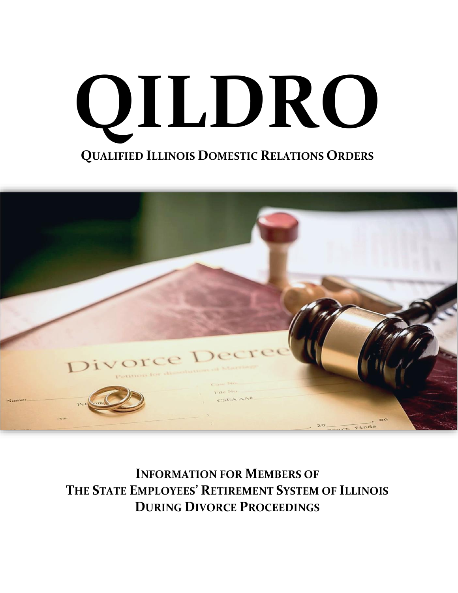



**INFORMATION FOR MEMBERS OF THE STATE EMPLOYEES' RETIREMENT SYSTEM OF ILLINOIS DURING DIVORCE PROCEEDINGS**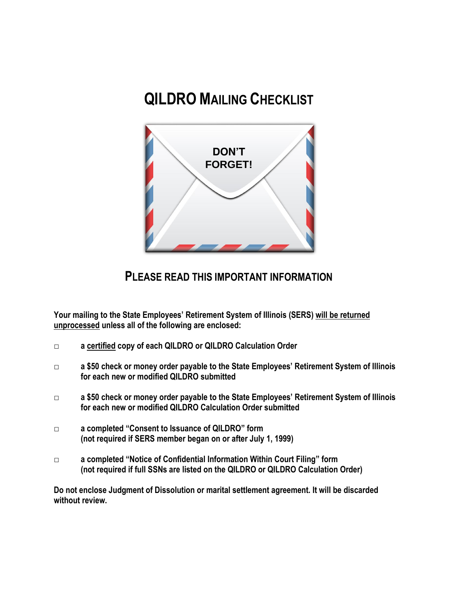# **QILDRO MAILING CHECKLIST**

![](_page_1_Picture_1.jpeg)

# **PLEASE READ THIS IMPORTANT INFORMATION**

**Your mailing to the State Employees' Retirement System of Illinois (SERS) will be returned unprocessed unless all of the following are enclosed:**

- **□ a certified copy of each QILDRO or QILDRO Calculation Order**
- **□ a \$50 check or money order payable to the State Employees' Retirement System of Illinois for each new or modified QILDRO submitted**
- **□ a \$50 check or money order payable to the State Employees' Retirement System of Illinois for each new or modified QILDRO Calculation Order submitted**
- **□ a completed "Consent to Issuance of QILDRO" form (not required if SERS member began on or after July 1, 1999)**
- **□ a completed "Notice of Confidential Information Within Court Filing" form (not required if full SSNs are listed on the QILDRO or QILDRO Calculation Order)**

**Do not enclose Judgment of Dissolution or marital settlement agreement. It will be discarded without review.**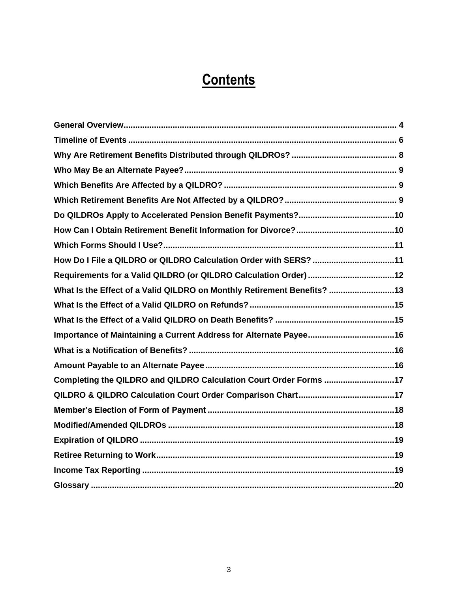# **Contents**

| How Do I File a QILDRO or QILDRO Calculation Order with SERS? 11        |  |
|-------------------------------------------------------------------------|--|
|                                                                         |  |
| What Is the Effect of a Valid QILDRO on Monthly Retirement Benefits? 13 |  |
|                                                                         |  |
|                                                                         |  |
|                                                                         |  |
|                                                                         |  |
|                                                                         |  |
| Completing the QILDRO and QILDRO Calculation Court Order Forms 17       |  |
|                                                                         |  |
|                                                                         |  |
|                                                                         |  |
|                                                                         |  |
|                                                                         |  |
|                                                                         |  |
|                                                                         |  |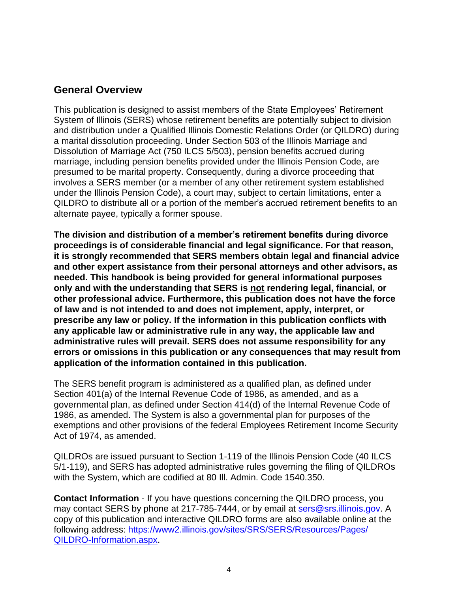### <span id="page-3-0"></span>**General Overview**

This publication is designed to assist members of the State Employees' Retirement System of Illinois (SERS) whose retirement benefits are potentially subject to division and distribution under a Qualified Illinois Domestic Relations Order (or QILDRO) during a marital dissolution proceeding. Under Section 503 of the Illinois Marriage and Dissolution of Marriage Act (750 ILCS 5/503), pension benefits accrued during marriage, including pension benefits provided under the Illinois Pension Code, are presumed to be marital property. Consequently, during a divorce proceeding that involves a SERS member (or a member of any other retirement system established under the Illinois Pension Code), a court may, subject to certain limitations, enter a QILDRO to distribute all or a portion of the member's accrued retirement benefits to an alternate payee, typically a former spouse.

**The division and distribution of a member's retirement benefits during divorce proceedings is of considerable financial and legal significance. For that reason, it is strongly recommended that SERS members obtain legal and financial advice and other expert assistance from their personal attorneys and other advisors, as needed. This handbook is being provided for general informational purposes only and with the understanding that SERS is not rendering legal, financial, or other professional advice. Furthermore, this publication does not have the force of law and is not intended to and does not implement, apply, interpret, or prescribe any law or policy. If the information in this publication conflicts with any applicable law or administrative rule in any way, the applicable law and administrative rules will prevail. SERS does not assume responsibility for any errors or omissions in this publication or any consequences that may result from application of the information contained in this publication.**

The SERS benefit program is administered as a *qualified plan,* as defined under Section 401(a) of the Internal Revenue Code of 1986, as amended, and as a *governmental plan,* as defined under Section 414(d) of the Internal Revenue Code of 1986, as amended. The System is also a *governmental plan* for purposes of the exemptions and other provisions of the federal Employees Retirement Income Security Act of 1974, as amended.

QILDROs are issued pursuant to Section 1-119 of the Illinois Pension Code (40 ILCS 5/1-119), and SERS has adopted administrative rules governing the filing of QILDROs with the System, which are codified at 80 Ill. Admin. Code 1540.350.

**Contact Information** - If you have questions concerning the QILDRO process, you may contact SERS by phone at 217-785-7444, or by email at sers@srs.illinois.gov. A copy of this publication and interactive QILDRO forms are also available online at the following address: [https://www2.illinois.gov/sites/SRS/SERS/Resources/Pages/](https://www2.illinois.gov/sites/SRS/SERS/Resources/Pages/QILDRO-Information.aspx) [QILDRO-Information.aspx.](https://www2.illinois.gov/sites/SRS/SERS/Resources/Pages/QILDRO-Information.aspx)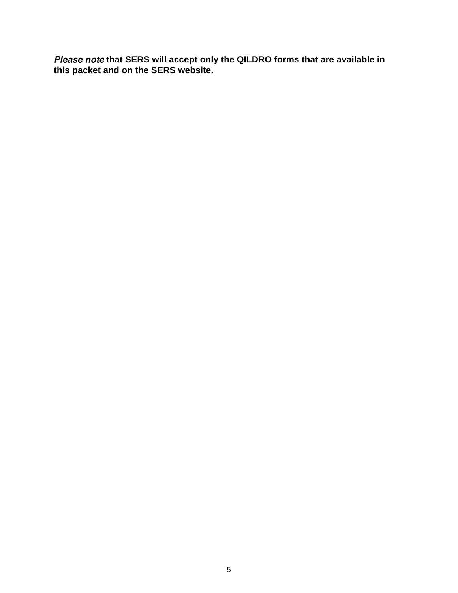**that SERS will accept only the QILDRO forms that are available in this packet and on the SERS website.**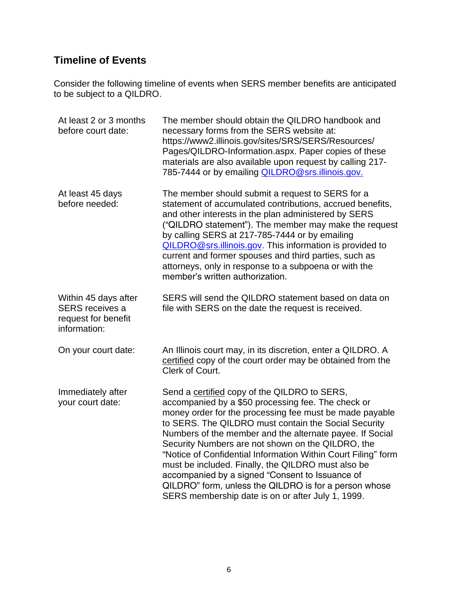# <span id="page-5-0"></span>**Timeline of Events**

Consider the following timeline of events when SERS member benefits are anticipated to be subject to a QILDRO.

| At least 2 or 3 months<br>before court date:                                          | The member should obtain the QILDRO handbook and<br>necessary forms from the SERS website at:<br>https://www2.illinois.gov/sites/SRS/SERS/Resources/<br>Pages/QILDRO-Information.aspx. Paper copies of these<br>materials are also available upon request by calling 217-<br>785-7444 or by emailing <b>QILDRO@srs.illinois.gov.</b>                                                                                                                                                                                                                                                                                           |
|---------------------------------------------------------------------------------------|--------------------------------------------------------------------------------------------------------------------------------------------------------------------------------------------------------------------------------------------------------------------------------------------------------------------------------------------------------------------------------------------------------------------------------------------------------------------------------------------------------------------------------------------------------------------------------------------------------------------------------|
| At least 45 days<br>before needed:                                                    | The member should submit a request to SERS for a<br>statement of accumulated contributions, accrued benefits,<br>and other interests in the plan administered by SERS<br>("QILDRO statement"). The member may make the request<br>by calling SERS at 217-785-7444 or by emailing<br>QILDRO@srs.illinois.gov. This information is provided to<br>current and former spouses and third parties, such as<br>attorneys, only in response to a subpoena or with the<br>member's written authorization.                                                                                                                              |
| Within 45 days after<br><b>SERS</b> receives a<br>request for benefit<br>information: | SERS will send the QILDRO statement based on data on<br>file with SERS on the date the request is received.                                                                                                                                                                                                                                                                                                                                                                                                                                                                                                                    |
| On your court date:                                                                   | An Illinois court may, in its discretion, enter a QILDRO. A<br>certified copy of the court order may be obtained from the<br>Clerk of Court.                                                                                                                                                                                                                                                                                                                                                                                                                                                                                   |
| Immediately after<br>your court date:                                                 | Send a certified copy of the QILDRO to SERS,<br>accompanied by a \$50 processing fee. The check or<br>money order for the processing fee must be made payable<br>to SERS. The QILDRO must contain the Social Security<br>Numbers of the member and the alternate payee. If Social<br>Security Numbers are not shown on the QILDRO, the<br>"Notice of Confidential Information Within Court Filing" form<br>must be included. Finally, the QILDRO must also be<br>accompanied by a signed "Consent to Issuance of<br>QILDRO" form, unless the QILDRO is for a person whose<br>SERS membership date is on or after July 1, 1999. |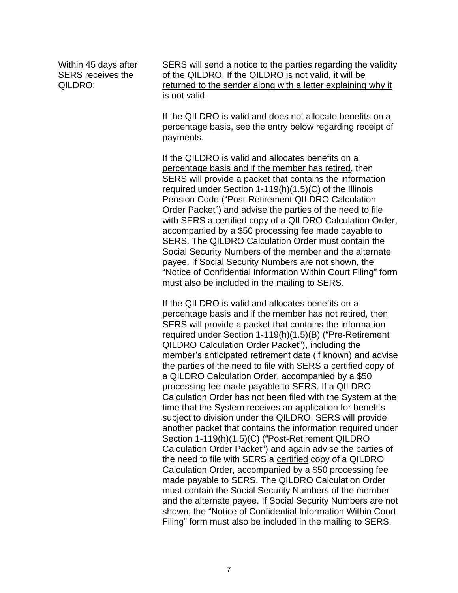Within 45 days after SERS receives the QILDRO:

SERS will send a notice to the parties regarding the validity of the QILDRO. If the QILDRO is not valid, it will be returned to the sender along with a letter explaining why it is not valid.

If the QILDRO is valid and does not allocate benefits on a percentage basis, see the entry below regarding receipt of payments.

If the QILDRO is valid and allocates benefits on a percentage basis and if the member has retired, then SERS will provide a packet that contains the information required under Section 1-119(h)(1.5)(C) of the Illinois Pension Code ("Post-Retirement QILDRO Calculation Order Packet") and advise the parties of the need to file with SERS a certified copy of a QILDRO Calculation Order, accompanied by a \$50 processing fee made payable to SERS. The QILDRO Calculation Order must contain the Social Security Numbers of the member and the alternate payee. If Social Security Numbers are not shown, the "Notice of Confidential Information Within Court Filing" form must also be included in the mailing to SERS.

If the QILDRO is valid and allocates benefits on a percentage basis and if the member has not retired, then SERS will provide a packet that contains the information required under Section 1-119(h)(1.5)(B) ("Pre-Retirement QILDRO Calculation Order Packet"), including the member's anticipated retirement date (if known) and advise the parties of the need to file with SERS a certified copy of a QILDRO Calculation Order, accompanied by a \$50 processing fee made payable to SERS. If a QILDRO Calculation Order has not been filed with the System at the time that the System receives an application for benefits subject to division under the QILDRO, SERS will provide another packet that contains the information required under Section 1-119(h)(1.5)(C) ("Post-Retirement QILDRO Calculation Order Packet") and again advise the parties of the need to file with SERS a certified copy of a QILDRO Calculation Order, accompanied by a \$50 processing fee made payable to SERS. The QILDRO Calculation Order must contain the Social Security Numbers of the member and the alternate payee. If Social Security Numbers are not shown, the "Notice of Confidential Information Within Court Filing" form must also be included in the mailing to SERS.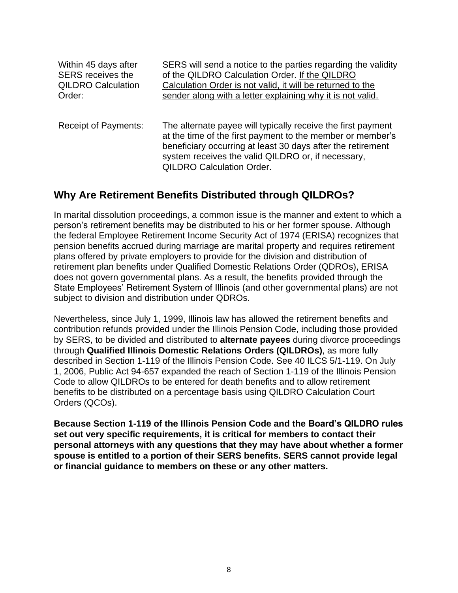| Within 45 days after        | SERS will send a notice to the parties regarding the validity                                                                                                                                                                                                                       |
|-----------------------------|-------------------------------------------------------------------------------------------------------------------------------------------------------------------------------------------------------------------------------------------------------------------------------------|
| <b>SERS</b> receives the    | of the QILDRO Calculation Order. If the QILDRO                                                                                                                                                                                                                                      |
| <b>QILDRO Calculation</b>   | Calculation Order is not valid, it will be returned to the                                                                                                                                                                                                                          |
| Order:                      | sender along with a letter explaining why it is not valid.                                                                                                                                                                                                                          |
| <b>Receipt of Payments:</b> | The alternate payee will typically receive the first payment<br>at the time of the first payment to the member or member's<br>beneficiary occurring at least 30 days after the retirement<br>system receives the valid QILDRO or, if necessary,<br><b>QILDRO Calculation Order.</b> |

### <span id="page-7-0"></span>**Why Are Retirement Benefits Distributed through QILDROs?**

In marital dissolution proceedings, a common issue is the manner and extent to which a person's retirement benefits may be distributed to his or her former spouse. Although the federal Employee Retirement Income Security Act of 1974 (ERISA) recognizes that pension benefits accrued during marriage are marital property and requires retirement plans offered by *private* employers to provide for the division and distribution of retirement plan benefits under Qualified Domestic Relations Order (QDROs), ERISA does not govern governmental plans. As a result, the benefits provided through the State Employees' Retirement System of Illinois (and other governmental plans) are not subject to division and distribution under QDROs.

Nevertheless, since July 1, 1999, Illinois law has allowed the retirement benefits and contribution refunds provided under the Illinois Pension Code, including those provided by SERS, to be divided and distributed to **alternate payees** during divorce proceedings through **Qualified Illinois Domestic Relations Orders (QILDROs)**, as more fully described in Section 1-119 of the Illinois Pension Code. *See* 40 ILCS 5/1-119. On July 1, 2006, Public Act 94-657 expanded the reach of Section 1-119 of the Illinois Pension Code to allow QILDROs to be entered for death benefits and to allow retirement benefits to be distributed on a percentage basis using QILDRO Calculation Court Orders (QCOs).

**Because Section 1-119 of the Illinois Pension Code and the Board's QILDRO rules set out very specific requirements, it is critical for members to contact their personal attorneys with any questions that they may have about whether a former spouse is entitled to a portion of their SERS benefits. SERS cannot provide legal or financial guidance to members on these or any other matters.**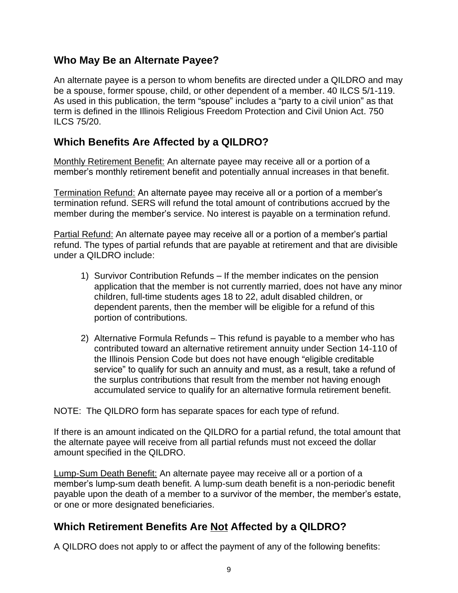### <span id="page-8-0"></span>**Who May Be an Alternate Payee?**

An alternate payee is a person to whom benefits are directed under a QILDRO and may be a spouse, former spouse, child, or other dependent of a member. 40 ILCS 5/1-119. As used in this publication, the term "spouse" includes a "party to a civil union" as that term is defined in the Illinois Religious Freedom Protection and Civil Union Act. 750 ILCS 75/20.

### <span id="page-8-1"></span>**Which Benefits Are Affected by a QILDRO?**

*Monthly Retirement Benefit:* An alternate payee may receive all or a portion of a member's monthly retirement benefit and potentially annual increases in that benefit.

*Termination Refund:* An alternate payee may receive all or a portion of a member's termination refund. SERS will refund the total amount of contributions accrued by the member during the member's service. No interest is payable on a termination refund.

*Partial Refund:* An alternate payee may receive all or a portion of a member's partial refund. The types of partial refunds that are payable at retirement and that are divisible under a QILDRO include:

- 1) *Survivor Contribution Refunds* If the member indicates on the pension application that the member is not currently married, does not have any minor children, full-time students ages 18 to 22, adult disabled children, or dependent parents, then the member will be eligible for a refund of this portion of contributions.
- 2) *Alternative Formula Refunds* This refund is payable to a member who has contributed toward an alternative retirement annuity under Section 14-110 of the Illinois Pension Code but does not have enough "eligible creditable service" to qualify for such an annuity and must, as a result, take a refund of the surplus contributions that result from the member not having enough accumulated service to qualify for an alternative formula retirement benefit.

NOTE: The QILDRO form has separate spaces for each type of refund.

If there is an amount indicated on the QILDRO for a partial refund, the total amount that the alternate payee will receive from all partial refunds must not exceed the dollar amount specified in the QILDRO.

*Lump-Sum Death Benefit:* An alternate payee may receive all or a portion of a member's lump-sum death benefit. A lump-sum death benefit is a non-periodic benefit payable upon the death of a member to a survivor of the member, the member's estate, or one or more designated beneficiaries.

### <span id="page-8-2"></span>**Which Retirement Benefits Are Not Affected by a QILDRO?**

A QILDRO *does not* apply to or affect the payment of any of the following benefits: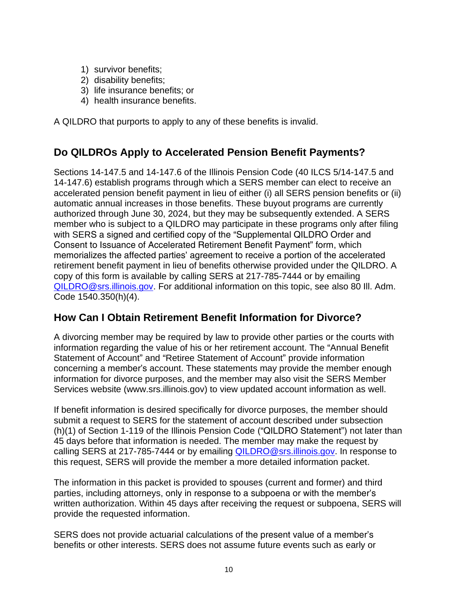- 1) survivor benefits;
- 2) disability benefits;
- 3) life insurance benefits; or
- 4) health insurance benefits.

A QILDRO that purports to apply to any of these benefits is invalid.

### <span id="page-9-0"></span>**Do QILDROs Apply to Accelerated Pension Benefit Payments?**

Sections 14-147.5 and 14-147.6 of the Illinois Pension Code (40 ILCS 5/14-147.5 and 14-147.6) establish programs through which a SERS member can elect to receive an accelerated pension benefit payment in lieu of either (i) all SERS pension benefits or (ii) automatic annual increases in those benefits. These buyout programs are currently authorized through June 30, 2024, but they may be subsequently extended. A SERS member who is subject to a QILDRO may participate in these programs only after filing with SERS a signed and certified copy of the "Supplemental QILDRO Order and Consent to Issuance of Accelerated Retirement Benefit Payment" form, which memorializes the affected parties' agreement to receive a portion of the accelerated retirement benefit payment in lieu of benefits otherwise provided under the QILDRO. A copy of this form is available by calling SERS at 217-785-7444 or by emailing [QILDRO@srs.illinois.gov.](mailto:QILDRO@srs.illinois.gov) For additional information on this topic, see also 80 Ill. Adm. Code 1540.350(h)(4).

### <span id="page-9-1"></span>**How Can I Obtain Retirement Benefit Information for Divorce?**

A divorcing member may be required by law to provide other parties or the courts with information regarding the value of his or her retirement account. The "Annual Benefit Statement of Account" and "Retiree Statement of Account" provide information concerning a member's account. These statements may provide the member enough information for divorce purposes, and the member may also visit the SERS Member Services website (www.srs.illinois.gov) to view updated account information as well.

If benefit information is desired specifically for divorce purposes, the member should submit a request to SERS for the statement of account described under subsection (h)(1) of Section 1-119 of the Illinois Pension Code ("QILDRO Statement") not later than 45 days before that information is needed. The member may make the request by calling SERS at 217-785-7444 or by emailing [QILDRO@srs.illinois.gov.](mailto:QILDRO@srs.illinois.gov) In response to this request, SERS will provide the member a more detailed information packet.

The information in this packet is provided to spouses (current and former) and third parties, including attorneys, only in response to a subpoena or with the member's written authorization. Within 45 days after receiving the request or subpoena, SERS will provide the requested information.

SERS does not provide actuarial calculations of the present value of a member's benefits or other interests. SERS does not assume future events such as early or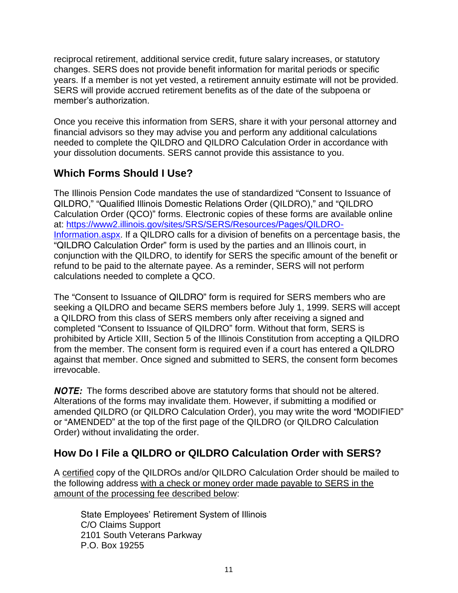reciprocal retirement, additional service credit, future salary increases, or statutory changes. SERS does not provide benefit information for marital periods or specific years. If a member is not yet vested, a retirement annuity estimate will not be provided. SERS will provide accrued retirement benefits as of the date of the subpoena or member's authorization.

Once you receive this information from SERS, share it with your personal attorney and financial advisors so they may advise you and perform any additional calculations needed to complete the QILDRO and QILDRO Calculation Order in accordance with your dissolution documents. SERS cannot provide this assistance to you.

# <span id="page-10-0"></span>**Which Forms Should I Use?**

The Illinois Pension Code mandates the use of standardized "Consent to Issuance of QILDRO," "Qualified Illinois Domestic Relations Order (QILDRO)," and "QILDRO Calculation Order (QCO)" forms. Electronic copies of these forms are available online at: [https://www2.illinois.gov/sites/SRS/SERS/Resources/Pages/QILDRO-](https://www2.illinois.gov/sites/SRS/SERS/Resources/Pages/QILDRO-Information.aspx)[Information.aspx.](https://www2.illinois.gov/sites/SRS/SERS/Resources/Pages/QILDRO-Information.aspx) If a QILDRO calls for a division of benefits on a percentage basis, the "QILDRO Calculation Order" form is used by the parties and an Illinois court, in conjunction with the QILDRO, to identify for SERS the specific amount of the benefit or refund to be paid to the alternate payee. As a reminder, SERS will not perform calculations needed to complete a QCO.

The "Consent to Issuance of QILDRO" form is required for SERS members who are seeking a QILDRO and became SERS members before July 1, 1999. SERS will accept a QILDRO from this class of SERS members only after receiving a signed and completed "Consent to Issuance of QILDRO" form. Without that form, SERS is prohibited by Article XIII, Section 5 of the Illinois Constitution from accepting a QILDRO from the member. The consent form is required even if a court has entered a QILDRO against that member. Once signed and submitted to SERS, the consent form becomes irrevocable.

**NOTE:** The forms described above are statutory forms that should not be altered. Alterations of the forms may invalidate them. However, if submitting a modified or amended QILDRO (or QILDRO Calculation Order), you may write the word "MODIFIED" or "AMENDED" at the top of the first page of the QILDRO (or QILDRO Calculation Order) without invalidating the order.

# <span id="page-10-1"></span>**How Do I File a QILDRO or QILDRO Calculation Order with SERS?**

A certified copy of the QILDROs and/or QILDRO Calculation Order should be mailed to the following address with a check or money order made payable to SERS in the amount of the processing fee described below:

State Employees' Retirement System of Illinois C/O Claims Support 2101 South Veterans Parkway P.O. Box 19255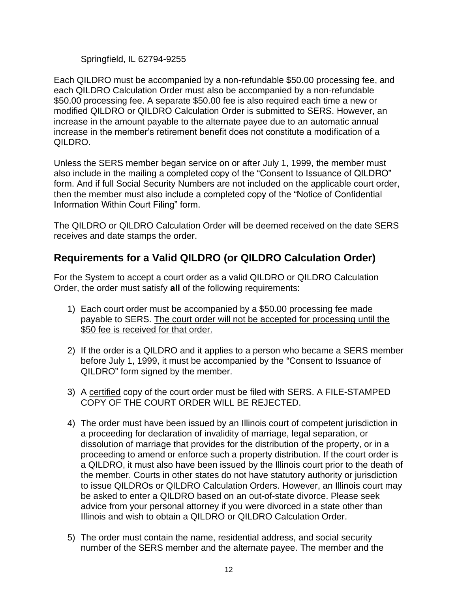#### Springfield, IL 62794-9255

Each QILDRO must be accompanied by a non-refundable \$50.00 processing fee, and each QILDRO Calculation Order must also be accompanied by a non-refundable \$50.00 processing fee. A separate \$50.00 fee is also required each time a new or modified QILDRO or QILDRO Calculation Order is submitted to SERS. However, an increase in the amount payable to the alternate payee due to an automatic annual increase in the member's retirement benefit does not constitute a modification of a QILDRO.

Unless the SERS member began service on or after July 1, 1999, the member must also include in the mailing a completed copy of the "Consent to Issuance of QILDRO" form. And if full Social Security Numbers are not included on the applicable court order, then the member must also include a completed copy of the "Notice of Confidential Information Within Court Filing" form.

The QILDRO or QILDRO Calculation Order will be deemed received on the date SERS receives and date stamps the order.

# <span id="page-11-0"></span>**Requirements for a Valid QILDRO (or QILDRO Calculation Order)**

For the System to accept a court order as a valid QILDRO or QILDRO Calculation Order, the order must satisfy **all** of the following requirements:

- 1) Each court order must be accompanied by a \$50.00 processing fee made payable to SERS. The court order will not be accepted for processing until the \$50 fee is received for that order.
- 2) If the order is a QILDRO and it applies to a person who became a SERS member before July 1, 1999, it must be accompanied by the "Consent to Issuance of QILDRO" form signed by the member.
- 3) A certified copy of the court order must be filed with SERS. A FILE-STAMPED COPY OF THE COURT ORDER WILL BE REJECTED.
- 4) The order must have been issued by an Illinois court of competent jurisdiction in a proceeding for declaration of invalidity of marriage, legal separation, or dissolution of marriage that provides for the distribution of the property, or in a proceeding to amend or enforce such a property distribution. If the court order is a QILDRO, it must also have been issued by the Illinois court prior to the death of the member. Courts in other states do not have statutory authority or jurisdiction to issue QILDROs or QILDRO Calculation Orders. However, an Illinois court may be asked to enter a QILDRO based on an out-of-state divorce. Please seek advice from your personal attorney if you were divorced in a state other than Illinois and wish to obtain a QILDRO or QILDRO Calculation Order.
- 5) The order must contain the name, residential address, and social security number of the SERS member and the alternate payee. The member and the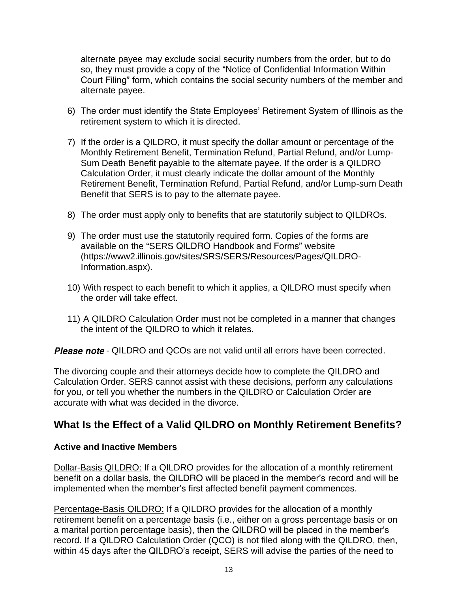alternate payee may exclude social security numbers from the order, but to do so, they must provide a copy of the "Notice of Confidential Information Within Court Filing" form, which contains the social security numbers of the member and alternate payee.

- 6) The order must identify the State Employees' Retirement System of Illinois as the retirement system to which it is directed.
- 7) If the order is a QILDRO, it must specify the dollar amount or percentage of the Monthly Retirement Benefit, Termination Refund, Partial Refund, and/or Lump-Sum Death Benefit payable to the alternate payee. If the order is a QILDRO Calculation Order, it must clearly indicate the dollar amount of the Monthly Retirement Benefit, Termination Refund, Partial Refund, and/or Lump-sum Death Benefit that SERS is to pay to the alternate payee.
- 8) The order must apply only to benefits that are statutorily subject to QILDROs.
- 9) The order must use the statutorily required form. Copies of the forms are available on the "SERS QILDRO Handbook and Forms" website (https://www2.illinois.gov/sites/SRS/SERS/Resources/Pages/QILDRO-Information.aspx).
- 10) With respect to each benefit to which it applies, a QILDRO must specify when the order will take effect.
- 11) A QILDRO Calculation Order must not be completed in a manner that changes the intent of the QILDRO to which it relates.

**Please note** - QILDRO and QCOs are not valid until all errors have been corrected.

The divorcing couple and their attorneys decide how to complete the QILDRO and Calculation Order. SERS cannot assist with these decisions, perform any calculations for you, or tell you whether the numbers in the QILDRO or Calculation Order are accurate with what was decided in the divorce.

# <span id="page-12-0"></span>**What Is the Effect of a Valid QILDRO on Monthly Retirement Benefits?**

#### **Active and Inactive Members**

*Dollar-Basis QILDRO:* If a QILDRO provides for the allocation of a monthly retirement benefit on a dollar basis, the QILDRO will be placed in the member's record and will be implemented when the member's first affected benefit payment commences.

*Percentage-Basis QILDRO:* If a QILDRO provides for the allocation of a monthly retirement benefit on a percentage basis (i.e., either on a gross percentage basis or on a marital portion percentage basis), then the QILDRO will be placed in the member's record. If a QILDRO Calculation Order (QCO) is not filed along with the QILDRO, then, within 45 days after the QILDRO's receipt, SERS will advise the parties of the need to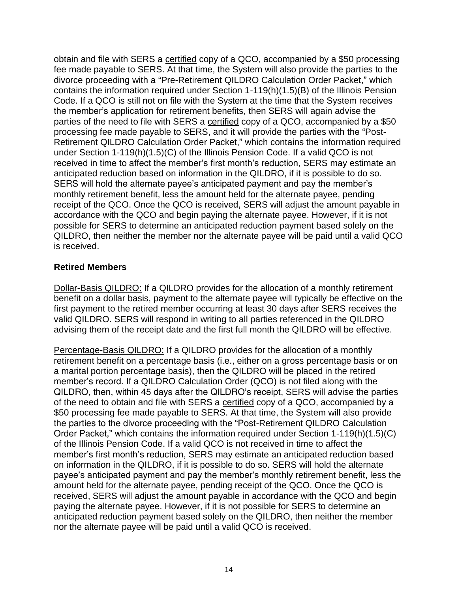obtain and file with SERS a certified copy of a QCO, accompanied by a \$50 processing fee made payable to SERS. At that time, the System will also provide the parties to the divorce proceeding with a "Pre-Retirement QILDRO Calculation Order Packet," which contains the information required under Section 1-119(h)(1.5)(B) of the Illinois Pension Code. If a QCO is still not on file with the System at the time that the System receives the member's application for retirement benefits, then SERS will again advise the parties of the need to file with SERS a certified copy of a QCO, accompanied by a \$50 processing fee made payable to SERS, and it will provide the parties with the "Post-Retirement QILDRO Calculation Order Packet," which contains the information required under Section 1-119(h)(1.5)(C) of the Illinois Pension Code. If a valid QCO is not received in time to affect the member's first month's reduction, SERS may estimate an anticipated reduction based on information in the QILDRO, if it is possible to do so. SERS will hold the alternate payee's anticipated payment and pay the member's monthly retirement benefit, less the amount held for the alternate payee, pending receipt of the QCO. Once the QCO is received, SERS will adjust the amount payable in accordance with the QCO and begin paying the alternate payee. However, if it is not possible for SERS to determine an anticipated reduction payment based solely on the QILDRO, then neither the member nor the alternate payee will be paid until a valid QCO is received.

#### **Retired Members**

*Dollar-Basis QILDRO:* If a QILDRO provides for the allocation of a monthly retirement benefit on a dollar basis, payment to the alternate payee will typically be effective on the first payment to the retired member occurring at least 30 days after SERS receives the valid QILDRO. SERS will respond in writing to all parties referenced in the QILDRO advising them of the receipt date and the first full month the QILDRO will be effective.

*Percentage-Basis QILDRO:* If a QILDRO provides for the allocation of a monthly retirement benefit on a percentage basis (i.e., either on a gross percentage basis or on a marital portion percentage basis), then the QILDRO will be placed in the retired member's record. If a QILDRO Calculation Order (QCO) is not filed along with the QILDRO, then, within 45 days after the QILDRO's receipt, SERS will advise the parties of the need to obtain and file with SERS a certified copy of a QCO, accompanied by a \$50 processing fee made payable to SERS. At that time, the System will also provide the parties to the divorce proceeding with the "Post-Retirement QILDRO Calculation Order Packet," which contains the information required under Section 1-119(h)(1.5)(C) of the Illinois Pension Code. If a valid QCO is not received in time to affect the member's first month's reduction, SERS may estimate an anticipated reduction based on information in the QILDRO, if it is possible to do so. SERS will hold the alternate payee's anticipated payment and pay the member's monthly retirement benefit, less the amount held for the alternate payee, pending receipt of the QCO. Once the QCO is received, SERS will adjust the amount payable in accordance with the QCO and begin paying the alternate payee. However, if it is not possible for SERS to determine an anticipated reduction payment based solely on the QILDRO, then neither the member nor the alternate payee will be paid until a valid QCO is received.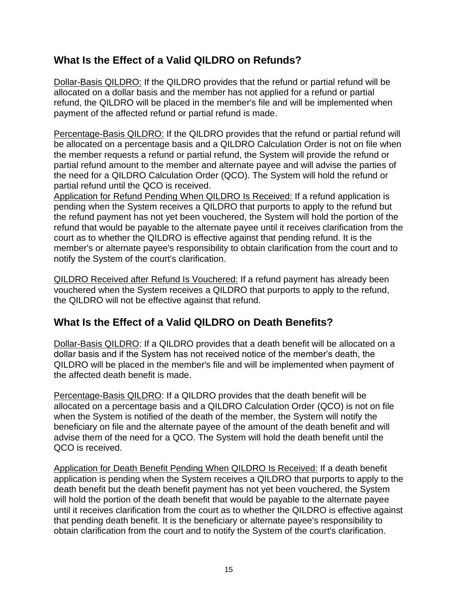# <span id="page-14-0"></span>**What Is the Effect of a Valid QILDRO on Refunds?**

*Dollar-Basis QILDRO:* If the QILDRO provides that the refund or partial refund will be allocated on a dollar basis and the member has not applied for a refund or partial refund, the QILDRO will be placed in the member's file and will be implemented when payment of the affected refund or partial refund is made.

*Percentage-Basis QILDRO:* If the QILDRO provides that the refund or partial refund will be allocated on a percentage basis and a QILDRO Calculation Order is not on file when the member requests a refund or partial refund, the System will provide the refund or partial refund amount to the member and alternate payee and will advise the parties of the need for a QILDRO Calculation Order (QCO). The System will hold the refund or partial refund until the QCO is received.

*Application for Refund Pending When QILDRO Is Received:* If a refund application is pending when the System receives a QILDRO that purports to apply to the refund but the refund payment has not yet been vouchered, the System will hold the portion of the refund that would be payable to the alternate payee until it receives clarification from the court as to whether the QILDRO is effective against that pending refund. It is the member's or alternate payee's responsibility to obtain clarification from the court and to notify the System of the court's clarification.

*QILDRO Received after Refund Is Vouchered:* If a refund payment has already been vouchered when the System receives a QILDRO that purports to apply to the refund, the QILDRO will not be effective against that refund.

### <span id="page-14-1"></span>**What Is the Effect of a Valid QILDRO on Death Benefits?**

Dollar-Basis QILDRO: If a QILDRO provides that a death benefit will be allocated on a dollar basis and if the System has not received notice of the member's death, the QILDRO will be placed in the member's file and will be implemented when payment of the affected death benefit is made.

*Percentage-Basis QILDRO:* If a QILDRO provides that the death benefit will be allocated on a percentage basis and a QILDRO Calculation Order (QCO) is not on file when the System is notified of the death of the member, the System will notify the beneficiary on file and the alternate payee of the amount of the death benefit and will advise them of the need for a QCO. The System will hold the death benefit until the QCO is received.

*Application for Death Benefit Pending When QILDRO Is Received:* If a death benefit application is pending when the System receives a QILDRO that purports to apply to the death benefit but the death benefit payment has not yet been vouchered, the System will hold the portion of the death benefit that would be payable to the alternate payee until it receives clarification from the court as to whether the QILDRO is effective against that pending death benefit. It is the beneficiary or alternate payee's responsibility to obtain clarification from the court and to notify the System of the court's clarification.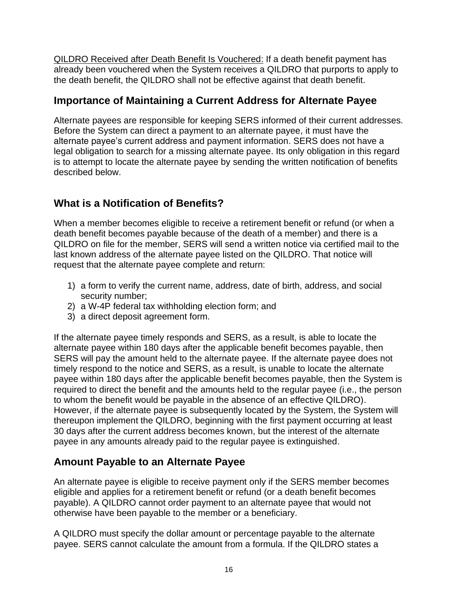*QILDRO Received after Death Benefit Is Vouchered:* If a death benefit payment has already been vouchered when the System receives a QILDRO that purports to apply to the death benefit, the QILDRO shall not be effective against that death benefit.

### <span id="page-15-0"></span>**Importance of Maintaining a Current Address for Alternate Payee**

Alternate payees are responsible for keeping SERS informed of their current addresses. Before the System can direct a payment to an alternate payee, it must have the alternate payee's current address and payment information. SERS does not have a legal obligation to search for a missing alternate payee. Its only obligation in this regard is to attempt to locate the alternate payee by sending the written notification of benefits described below.

# <span id="page-15-1"></span>**What is a Notification of Benefits?**

When a member becomes eligible to receive a retirement benefit or refund (or when a death benefit becomes payable because of the death of a member) and there is a QILDRO on file for the member, SERS will send a written notice via certified mail to the last known address of the alternate payee listed on the QILDRO. That notice will request that the alternate payee complete and return:

- 1) a form to verify the current name, address, date of birth, address, and social security number;
- 2) a W-4P federal tax withholding election form; and
- 3) a direct deposit agreement form.

If the alternate payee timely responds and SERS, as a result, is able to locate the alternate payee within 180 days after the applicable benefit becomes payable, then SERS will pay the amount held to the alternate payee. If the alternate payee does not timely respond to the notice and SERS, as a result, is unable to locate the alternate payee within 180 days after the applicable benefit becomes payable, then the System is required to direct the benefit and the amounts held to the regular payee (i.e., the person to whom the benefit would be payable in the absence of an effective QILDRO). However, if the alternate payee is subsequently located by the System, the System will thereupon implement the QILDRO, beginning with the first payment occurring at least 30 days after the current address becomes known, but the interest of the alternate payee in any amounts already paid to the regular payee is extinguished.

# <span id="page-15-2"></span>**Amount Payable to an Alternate Payee**

An alternate payee is eligible to receive payment only if the SERS member becomes eligible and applies for a retirement benefit or refund (or a death benefit becomes payable). A QILDRO cannot order payment to an alternate payee that would not otherwise have been payable to the member or a beneficiary.

A QILDRO must specify the dollar amount or percentage payable to the alternate payee. SERS cannot calculate the amount from a formula. If the QILDRO states a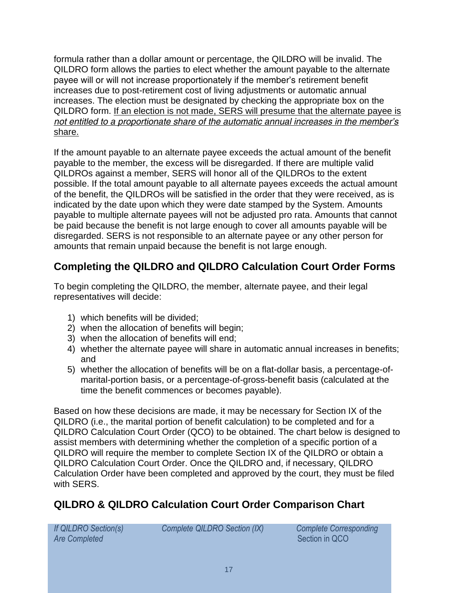formula rather than a dollar amount or percentage, the QILDRO will be invalid. The QILDRO form allows the parties to elect whether the amount payable to the alternate payee will or will not increase proportionately if the member's retirement benefit increases due to post-retirement cost of living adjustments or automatic annual increases. The election must be designated by checking the appropriate box on the QILDRO form. *If an election is not made, SERS will presume that the alternate payee is not entitled to a proportionate share of the automatic annual increases in the member's share.*

If the amount payable to an alternate payee exceeds the actual amount of the benefit payable to the member, the excess will be disregarded. If there are multiple valid QILDROs against a member, SERS will honor all of the QILDROs to the extent possible. If the total amount payable to all alternate payees exceeds the actual amount of the benefit, the QILDROs will be satisfied in the order that they were received, as is indicated by the date upon which they were date stamped by the System. Amounts payable to multiple alternate payees will not be adjusted *pro rata*. Amounts that cannot be paid because the benefit is not large enough to cover all amounts payable will be disregarded. SERS is not responsible to an alternate payee or any other person for amounts that remain unpaid because the benefit is not large enough.

# <span id="page-16-0"></span>**Completing the QILDRO and QILDRO Calculation Court Order Forms**

To begin completing the QILDRO, the member, alternate payee, and their legal representatives will decide:

- 1) which benefits will be divided;
- 2) when the allocation of benefits will begin;
- 3) when the allocation of benefits will end;
- 4) whether the alternate payee will share in automatic annual increases in benefits; and
- 5) whether the allocation of benefits will be on a flat-dollar basis, a percentage-ofmarital-portion basis, or a percentage-of-gross-benefit basis (calculated at the time the benefit commences or becomes payable).

Based on how these decisions are made, it may be necessary for Section IX of the QILDRO (i.e., the marital portion of benefit calculation) to be completed and for a QILDRO Calculation Court Order (QCO) to be obtained. The chart below is designed to assist members with determining whether the completion of a specific portion of a QILDRO will require the member to complete Section IX of the QILDRO or obtain a QILDRO Calculation Court Order. Once the QILDRO and, if necessary, QILDRO Calculation Order have been completed and approved by the court, they must be filed with SERS.

# <span id="page-16-1"></span>**QILDRO & QILDRO Calculation Court Order Comparison Chart**

*Are Completed* Section in QCO

*If QILDRO Section(s) Complete QILDRO Section (IX) Complete Corresponding*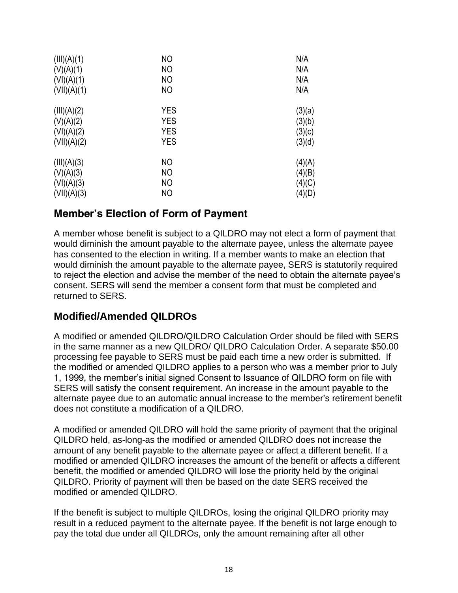| (III)(A)(1) | N <sub>O</sub> | N/A    |
|-------------|----------------|--------|
| (V)(A)(1)   | <b>NO</b>      | N/A    |
| (VI)(A)(1)  | NO             | N/A    |
| (VII)(A)(1) | <b>NO</b>      | N/A    |
| (III)(A)(2) | <b>YES</b>     | (3)(a) |
| (V)(A)(2)   | <b>YES</b>     | (3)(b) |
| (VI)(A)(2)  | <b>YES</b>     | (3)(c) |
| (VII)(A)(2) | <b>YES</b>     | (3)(d) |
| (III)(A)(3) | NO             | (4)(A) |
| (V)(A)(3)   | N <sub>O</sub> | (4)(B) |
| (VI)(A)(3)  | <b>NO</b>      | (4)(C) |
| (VII)(A)(3) | NO             | (4)(D) |

### <span id="page-17-0"></span>**Member's Election of Form of Payment**

A member whose benefit is subject to a QILDRO may not elect a form of payment that would diminish the amount payable to the alternate payee, unless the alternate payee has consented to the election in writing. If a member wants to make an election that would diminish the amount payable to the alternate payee, SERS is statutorily required to reject the election and advise the member of the need to obtain the alternate payee's consent. SERS will send the member a consent form that must be completed and returned to SERS.

### <span id="page-17-1"></span>**Modified/Amended QILDROs**

A modified or amended QILDRO/QILDRO Calculation Order should be filed with SERS in the same manner as a new QILDRO/ QILDRO Calculation Order. A separate \$50.00 processing fee payable to SERS must be paid each time a new order is submitted. If the modified or amended QILDRO applies to a person who was a member prior to July 1, 1999, the member's initial signed Consent to Issuance of QILDRO form on file with SERS will satisfy the consent requirement. An increase in the amount payable to the alternate payee due to an automatic annual increase to the member's retirement benefit does not constitute a modification of a QILDRO.

A modified or amended QILDRO will hold the same priority of payment that the original QILDRO held, as-long-as the modified or amended QILDRO does not increase the amount of any benefit payable to the alternate payee or affect a different benefit. If a modified or amended QILDRO increases the amount of the benefit or affects a different benefit, the modified or amended QILDRO will lose the priority held by the original QILDRO. Priority of payment will then be based on the date SERS received the modified or amended QILDRO.

If the benefit is subject to multiple QILDROs, losing the original QILDRO priority may result in a reduced payment to the alternate payee. If the benefit is not large enough to pay the total due under all QILDROs, only the amount remaining after all other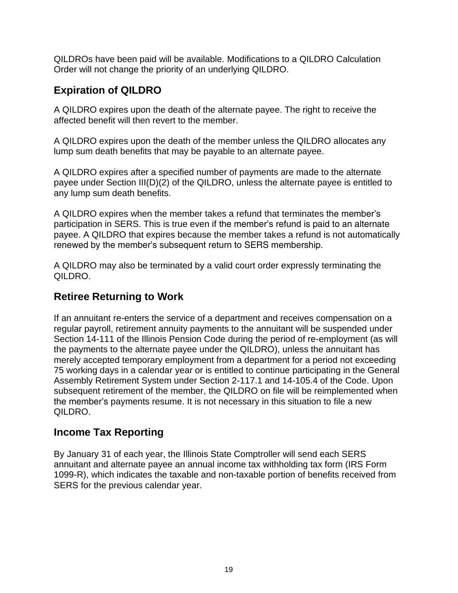QILDROs have been paid will be available. Modifications to a QILDRO Calculation Order will not change the priority of an underlying QILDRO.

# <span id="page-18-0"></span>**Expiration of QILDRO**

A QILDRO expires upon the death of the alternate payee. The right to receive the affected benefit will then revert to the member.

A QILDRO expires upon the death of the member unless the QILDRO allocates any lump sum death benefits that may be payable to an alternate payee.

A QILDRO expires after a specified number of payments are made to the alternate payee under Section III(D)(2) of the QILDRO, unless the alternate payee is entitled to any lump sum death benefits.

A QILDRO expires when the member takes a refund that terminates the member's participation in SERS. This is true even if the member's refund is paid to an alternate payee. A QILDRO that expires because the member takes a refund is not automatically renewed by the member's subsequent return to SERS membership.

A QILDRO may also be terminated by a valid court order expressly terminating the QILDRO.

# <span id="page-18-1"></span>**Retiree Returning to Work**

If an annuitant re-enters the service of a department and receives compensation on a regular payroll, retirement annuity payments to the annuitant will be suspended under Section 14-111 of the Illinois Pension Code during the period of re-employment (as will the payments to the alternate payee under the QILDRO), unless the annuitant has merely accepted temporary employment from a department for a period not exceeding 75 working days in a calendar year or is entitled to continue participating in the General Assembly Retirement System under Section 2-117.1 and 14-105.4 of the Code. Upon subsequent retirement of the member, the QILDRO on file will be reimplemented when the member's payments resume. It is not necessary in this situation to file a new QILDRO.

# <span id="page-18-2"></span>**Income Tax Reporting**

By January 31 of each year, the Illinois State Comptroller will send each SERS annuitant and alternate payee an annual income tax withholding tax form (IRS Form 1099-R), which indicates the taxable and non-taxable portion of benefits received from SERS for the previous calendar year.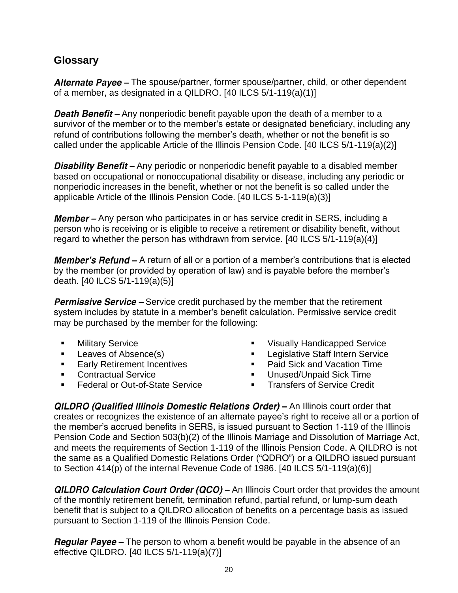### <span id="page-19-0"></span>**Glossary**

Alternate Payee - The spouse/partner, former spouse/partner, child, or other dependent of a member, as designated in a QILDRO. [40 ILCS 5/1-119(a)(1)]

**Death Benefit** – Any nonperiodic benefit payable upon the death of a member to a survivor of the member or to the member's estate or designated beneficiary, including any refund of contributions following the member's death, whether or not the benefit is so called under the applicable Article of the Illinois Pension Code. [40 ILCS 5/1-119(a)(2)]

**Disability Benefit** – Any periodic or nonperiodic benefit payable to a disabled member based on occupational or nonoccupational disability or disease, including any periodic or nonperiodic increases in the benefit, whether or not the benefit is so called under the applicable Article of the Illinois Pension Code. [40 ILCS 5-1-119(a)(3)]

**Member** – Any person who participates in or has service credit in SERS, including a person who is receiving or is eligible to receive a retirement or disability benefit, without regard to whether the person has withdrawn from service. [40 ILCS 5/1-119(a)(4)]

**Member's Refund –** A return of all or a portion of a member's contributions that is elected by the member (or provided by operation of law) and is payable before the member's death. [40 ILCS 5/1-119(a)(5)]

**Permissive Service –** Service credit purchased by the member that the retirement system includes by statute in a member's benefit calculation. Permissive service credit may be purchased by the member for the following:

- Military Service
- Leaves of Absence(s)
- **Early Retirement Incentives**
- **Contractual Service**
- Federal or Out-of-State Service
- **Visually Handicapped Service**
- Legislative Staff Intern Service
- Paid Sick and Vacation Time
- Unused/Unpaid Sick Time
- **EXECUTE:** Transfers of Service Credit

**QILDRO (Qualified Illinois Domestic Relations Order) - An Illinois court order that** creates or recognizes the existence of an alternate payee's right to receive all or a portion of the member's accrued benefits in SERS, is issued pursuant to Section 1-119 of the Illinois Pension Code and Section 503(b)(2) of the Illinois Marriage and Dissolution of Marriage Act, and meets the requirements of Section 1-119 of the Illinois Pension Code. A QILDRO is not the same as a Qualified Domestic Relations Order ("QDRO") or a QILDRO issued pursuant to Section 414(p) of the internal Revenue Code of 1986. [40 ILCS 5/1-119(a)(6)]

**QILDRO Calculation Court Order (QCO) –** An Illinois Court order that provides the amount of the monthly retirement benefit, termination refund, partial refund, or lump-sum death benefit that is subject to a QILDRO allocation of benefits on a percentage basis as issued pursuant to Section 1-119 of the Illinois Pension Code.

**Regular Payee –** The person to whom a benefit would be payable in the absence of an effective QILDRO. [40 ILCS 5/1-119(a)(7)]